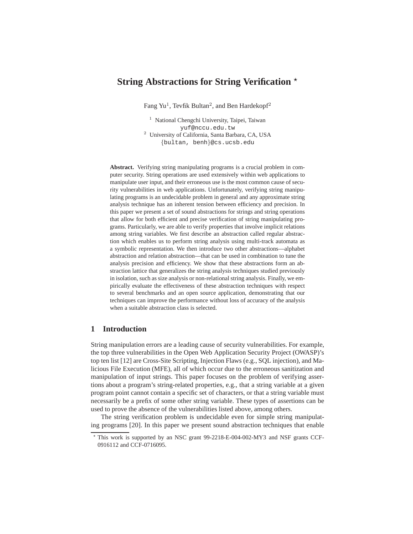# **String Abstractions for String Verification**  $\star$

Fang Yu<sup>1</sup>, Tevfik Bultan<sup>2</sup>, and Ben Hardekopf<sup>2</sup>

<sup>1</sup> National Chengchi University, Taipei, Taiwan yuf@nccu.edu.tw <sup>2</sup> University of California, Santa Barbara, CA, USA {bultan, benh}@cs.ucsb.edu

**Abstract.** Verifying string manipulating programs is a crucial problem in computer security. String operations are used extensively within web applications to manipulate user input, and their erroneous use is the most common cause of security vulnerabilities in web applications. Unfortunately, verifying string manipulating programs is an undecidable problem in general and any approximate string analysis technique has an inherent tension between efficiency and precision. In this paper we present a set of sound abstractions for strings and string operations that allow for both efficient and precise verification of string manipulating programs. Particularly, we are able to verify properties that involve implicit relations among string variables. We first describe an abstraction called regular abstraction which enables us to perform string analysis using multi-track automata as a symbolic representation. We then introduce two other abstractions—alphabet abstraction and relation abstraction—that can be used in combination to tune the analysis precision and efficiency. We show that these abstractions form an abstraction lattice that generalizes the string analysis techniques studied previously in isolation, such as size analysis or non-relational string analysis. Finally, we empirically evaluate the effectiveness of these abstraction techniques with respect to several benchmarks and an open source application, demonstrating that our techniques can improve the performance without loss of accuracy of the analysis when a suitable abstraction class is selected.

### **1 Introduction**

String manipulation errors are a leading cause of security vulnerabilities. For example, the top three vulnerabilities in the Open Web Application Security Project (OWASP)'s top ten list [12] are Cross-Site Scripting, Injection Flaws (e.g., SQL injection), and Malicious File Execution (MFE), all of which occur due to the erroneous sanitization and manipulation of input strings. This paper focuses on the problem of verifying assertions about a program's string-related properties, e.g., that a string variable at a given program point cannot contain a specific set of characters, or that a string variable must necessarily be a prefix of some other string variable. These types of assertions can be used to prove the absence of the vulnerabilities listed above, among others.

The string verification problem is undecidable even for simple string manipulating programs [20]. In this paper we present sound abstraction techniques that enable

<sup>⋆</sup> This work is supported by an NSC grant 99-2218-E-004-002-MY3 and NSF grants CCF-0916112 and CCF-0716095.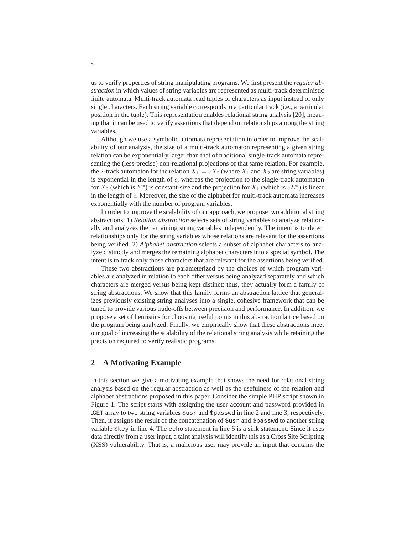us to verify properties of string manipulating programs. We first present the *regular abstraction* in which values of string variables are represented as multi-track deterministic finite automata. Multi-track automata read tuples of characters as input instead of only single characters. Each string variable corresponds to a particular track (i.e., a particular position in the tuple). This representation enables relational string analysis [20], meaning that it can be used to verify assertions that depend on relationships among the string variables.

Although we use a symbolic automata representation in order to improve the scalability of our analysis, the size of a multi-track automaton representing a given string relation can be exponentially larger than that of traditional single-track automata representing the (less-precise) non-relational projections of that same relation. For example, the 2-track automaton for the relation  $X_1 = cX_2$  (where  $X_1$  and  $X_2$  are string variables) is exponential in the length of  $c$ , whereas the projection to the single-track automaton for  $X_2$  (which is  $\Sigma^*$ ) is constant-size and the projection for  $X_1$  (which is  $c\Sigma^*$ ) is linear in the length of  $c$ . Moreover, the size of the alphabet for multi-track automata increases exponentially with the number of program variables.

In order to improve the scalability of our approach, we propose two additional string abstractions: 1) *Relation abstraction* selects sets of string variables to analyze relationally and analyzes the remaining string variables independently. The intent is to detect relationships only for the string variables whose relations are relevant for the assertions being verified. 2) *Alphabet abstraction* selects a subset of alphabet characters to analyze distinctly and merges the remaining alphabet characters into a special symbol. The intent is to track only those characters that are relevant for the assertions being verified.

These two abstractions are parameterized by the choices of which program variables are analyzed in relation to each other versus being analyzed separately and which characters are merged versus being kept distinct; thus, they actually form a family of string abstractions. We show that this family forms an abstraction lattice that generalizes previously existing string analyses into a single, cohesive framework that can be tuned to provide various trade-offs between precision and performance. In addition, we propose a set of heuristics for choosing useful points in this abstraction lattice based on the program being analyzed. Finally, we empirically show that these abstractions meet our goal of increasing the scalability of the relational string analysis while retaining the precision required to verify realistic programs.

# **2 A Motivating Example**

In this section we give a motivating example that shows the need for relational string analysis based on the regular abstraction as well as the usefulness of the relation and alphabet abstractions proposed in this paper. Consider the simple PHP script shown in Figure 1. The script starts with assigning the user account and password provided in  $CET$  array to two string variables  $\xi$ usr and  $\xi$  passwd in line 2 and line 3, respectively. Then, it assigns the result of the concatenation of  $\frac{1}{2}$  and  $\frac{1}{2}$  and  $\frac{1}{2}$  another string variable \$key in line 4. The echo statement in line 6 is a sink statement. Since it uses data directly from a user input, a taint analysis will identify this as a Cross Site Scripting (XSS) vulnerability. That is, a malicious user may provide an input that contains the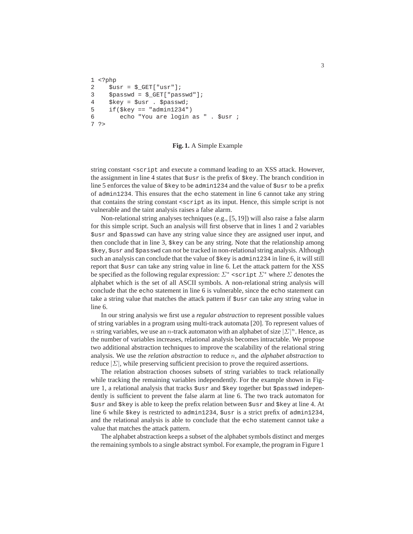```
1 <?php
2 $usr = $_GET["usr"];
3 $passwd = $_GET["passwd"];
4 $key = $usr . $passwd;
5 if($key == "admin1234")
6 echo "You are login as " . $usr ;
7 ?>
```
**Fig. 1.** A Simple Example

string constant <script and execute a command leading to an XSS attack. However, the assignment in line 4 states that  $\frac{1}{2}$  variance  $\frac{1}{2}$  is the prefix of  $\frac{1}{2}$  key. The branch condition in line 5 enforces the value of \$key to be admin1234 and the value of \$usr to be a prefix of admin1234. This ensures that the echo statement in line 6 cannot take any string that contains the string constant <script as its input. Hence, this simple script is not vulnerable and the taint analysis raises a false alarm.

Non-relational string analyses techniques (e.g., [5, 19]) will also raise a false alarm for this simple script. Such an analysis will first observe that in lines 1 and 2 variables \$usr and \$passwd can have any string value since they are assigned user input, and then conclude that in line 3,  $\frac{1}{2}$  (key can be any string. Note that the relationship among \$key, \$usr and \$passwd can *not* be tracked in non-relational string analysis. Although such an analysis can conclude that the value of \$key is admin1234 in line 6, it will still report that  $\frac{1}{2}$  can take any string value in line 6. Let the attack pattern for the XSS be specified as the following regular expression:  $\Sigma^*$  <script  $\Sigma^*$  where  $\Sigma$  denotes the alphabet which is the set of all ASCII symbols. A non-relational string analysis will conclude that the echo statement in line 6 is vulnerable, since the echo statement can take a string value that matches the attack pattern if  $s_{\text{usr}}$  can take any string value in line 6.

In our string analysis we first use a *regular abstraction* to represent possible values of string variables in a program using multi-track automata [20]. To represent values of n string variables, we use an n-track automaton with an alphabet of size  $|\mathcal{\Sigma}|^n$ . Hence, as the number of variables increases, relational analysis becomes intractable. We propose two additional abstraction techniques to improve the scalability of the relational string analysis. We use the *relation abstraction* to reduce n, and the *alphabet abstraction* to reduce  $|\Sigma|$ , while preserving sufficient precision to prove the required assertions.

The relation abstraction chooses subsets of string variables to track relationally while tracking the remaining variables independently. For the example shown in Figure 1, a relational analysis that tracks \$usr and \$key together but \$passwd independently is sufficient to prevent the false alarm at line 6. The two track automaton for \$usr and \$key is able to keep the prefix relation between \$usr and \$key at line 4. At line 6 while  $\frac{1}{2}$  is restricted to admin1234,  $\frac{1}{2}$  is a strict prefix of admin1234, and the relational analysis is able to conclude that the echo statement cannot take a value that matches the attack pattern.

The alphabet abstraction keeps a subset of the alphabet symbols distinct and merges the remaining symbols to a single abstract symbol. For example, the program in Figure 1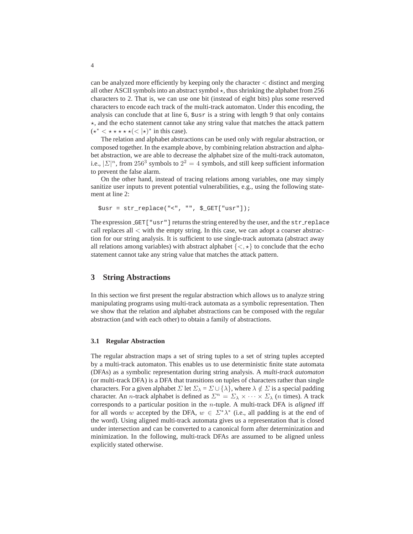can be analyzed more efficiently by keeping only the character < distinct and merging all other ASCII symbols into an abstract symbol  $\star$ , thus shrinking the alphabet from 256 characters to 2. That is, we can use one bit (instead of eight bits) plus some reserved characters to encode each track of the multi-track automaton. Under this encoding, the analysis can conclude that at line  $6$ ,  $s_{\text{usr}}$  is a string with length 9 that only contains  $\star$ , and the echo statement cannot take any string value that matches the attack pattern  $(\star^* < \star \star \star \star \star (< |\star)^*$  in this case).

The relation and alphabet abstractions can be used only with regular abstraction, or composed together. In the example above, by combining relation abstraction and alphabet abstraction, we are able to decrease the alphabet size of the multi-track automaton, i.e.,  $|\mathcal{\Sigma}|^n$ , from 256<sup>3</sup> symbols to  $2^2 = 4$  symbols, and still keep sufficient information to prevent the false alarm.

On the other hand, instead of tracing relations among variables, one may simply sanitize user inputs to prevent potential vulnerabilities, e.g., using the following statement at line 2:

```
$usr = str_replace("<", "", $_GET["usr"]);
```
The expression  $GET['usr']$  returns the string entered by the user, and the  $str\_replace$ call replaces all  $\lt$  with the empty string. In this case, we can adopt a coarser abstraction for our string analysis. It is sufficient to use single-track automata (abstract away all relations among variables) with abstract alphabet  $\{<,\star\}$  to conclude that the echo statement cannot take any string value that matches the attack pattern.

### **3 String Abstractions**

In this section we first present the regular abstraction which allows us to analyze string manipulating programs using multi-track automata as a symbolic representation. Then we show that the relation and alphabet abstractions can be composed with the regular abstraction (and with each other) to obtain a family of abstractions.

#### **3.1 Regular Abstraction**

The regular abstraction maps a set of string tuples to a set of string tuples accepted by a multi-track automaton. This enables us to use deterministic finite state automata (DFAs) as a symbolic representation during string analysis. A *multi-track automaton* (or multi-track DFA) is a DFA that transitions on tuples of characters rather than single characters. For a given alphabet  $\Sigma$  let  $\Sigma_\lambda = \Sigma \cup \{\lambda\}$ , where  $\lambda \notin \Sigma$  is a special padding character. An *n*-track alphabet is defined as  $\Sigma^n = \Sigma_\lambda \times \cdots \times \Sigma_\lambda$  (*n* times). A track corresponds to a particular position in the n-tuple. A multi-track DFA is *aligned* iff for all words w accepted by the DFA,  $w \in \Sigma^* \lambda^*$  (i.e., all padding is at the end of the word). Using aligned multi-track automata gives us a representation that is closed under intersection and can be converted to a canonical form after determinization and minimization. In the following, multi-track DFAs are assumed to be aligned unless explicitly stated otherwise.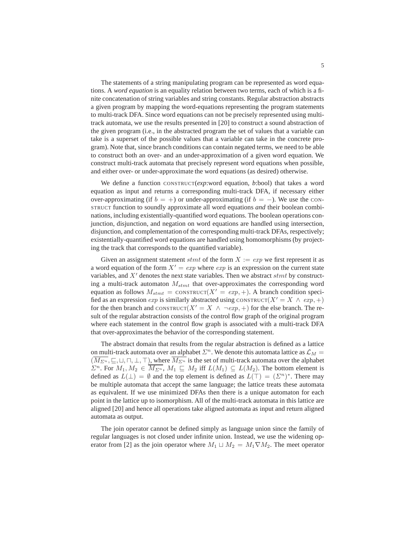The statements of a string manipulating program can be represented as word equations. A *word equation* is an equality relation between two terms, each of which is a finite concatenation of string variables and string constants. Regular abstraction abstracts a given program by mapping the word-equations representing the program statements to multi-track DFA. Since word equations can not be precisely represented using multitrack automata, we use the results presented in [20] to construct a sound abstraction of the given program (i.e., in the abstracted program the set of values that a variable can take is a superset of the possible values that a variable can take in the concrete program). Note that, since branch conditions can contain negated terms, we need to be able to construct both an over- and an under-approximation of a given word equation. We construct multi-track automata that precisely represent word equations when possible, and either over- or under-approximate the word equations (as desired) otherwise.

We define a function CONSTRUCT(*exp*:word equation, *b*:bool) that takes a word equation as input and returns a corresponding multi-track DFA, if necessary either over-approximating (if  $b = +$ ) or under-approximating (if  $b = -$ ). We use the CON-STRUCT function to soundly approximate all word equations *and* their boolean combinations, including existentially-quantified word equations. The boolean operations conjunction, disjunction, and negation on word equations are handled using intersection, disjunction, and complementation of the corresponding multi-track DFAs, respectively; existentially-quantified word equations are handled using homomorphisms (by projecting the track that corresponds to the quantified variable).

Given an assignment statement stmt of the form  $X := exp$  we first represent it as a word equation of the form  $X' = exp$  where  $exp$  is an expression on the current state variables, and  $X'$  denotes the next state variables. Then we abstract stmt by constructing a multi-track automaton  $M_{stmt}$  that over-approximates the corresponding word equation as follows  $M_{stmt} = \text{converror}(X' = exp, +)$ . A branch condition specified as an expression *exp* is similarly abstracted using CONSTRUCT( $X' = X \wedge exp, +$ ) for the then branch and CONSTRUCT( $X' = X \land \neg exp, +$ ) for the else branch. The result of the regular abstraction consists of the control flow graph of the original program where each statement in the control flow graph is associated with a multi-track DFA that over-approximates the behavior of the corresponding statement.

The abstract domain that results from the regular abstraction is defined as a lattice on multi-track automata over an alphabet  $\Sigma<sup>n</sup>$ . We denote this automata lattice as  $\mathcal{L}_M$  =  $(\overline{M_{\Sigma^n}}, \sqsubseteq, \sqcup, \sqcap, \perp, \top)$ , where  $\overline{M_{\Sigma^n}}$  is the set of multi-track automata over the alphabet  $\Sigma^n$ . For  $M_1, M_2 \in \overline{M_{\Sigma^n}}, M_1 \sqsubseteq M_2$  iff  $L(M_1) \subseteq L(M_2)$ . The bottom element is defined as  $L(\perp) = \emptyset$  and the top element is defined as  $L(\top) = (\Sigma^n)^*$ . There may be multiple automata that accept the same language; the lattice treats these automata as equivalent. If we use minimized DFAs then there is a unique automaton for each point in the lattice up to isomorphism. All of the multi-track automata in this lattice are aligned [20] and hence all operations take aligned automata as input and return aligned automata as output.

The join operator cannot be defined simply as language union since the family of regular languages is not closed under infinite union. Instead, we use the widening operator from [2] as the join operator where  $M_1 \sqcup M_2 = M_1 \nabla M_2$ . The meet operator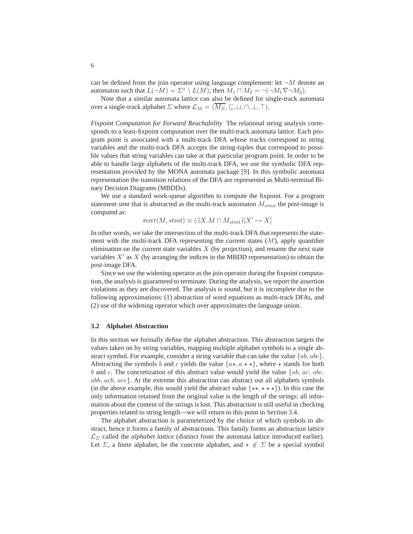can be defined from the join operator using language complement: let  $\neg M$  denote an automaton such that  $L(\neg M) = \Sigma^* \setminus L(M)$ ; then  $M_1 \sqcap M_2 = \neg(\neg M_1 \nabla \neg M_2)$ .

Note that a similar automata lattice can also be defined for single-track automata over a single-track alphabet  $\Sigma$  where  $\mathcal{L}_M = (\overline{M_{\Sigma}}, \sqsubseteq, \sqcup, \sqcap, \bot, \top)$ .

*Fixpoint Computation for Forward Reachability* The relational string analysis corresponds to a least-fixpoint computation over the multi-track automata lattice. Each program point is associated with a multi-track DFA whose tracks correspond to string variables and the multi-track DFA accepts the string-tuples that correspond to possible values that string variables can take at that particular program point. In order to be able to handle large alphabets of the multi-track DFA, we use the symbolic DFA representation provided by the MONA automata package [9]. In this symbolic automata representation the transition relations of the DFA are represented as Multi-terminal Binary Decision Diagrams (MBDDs).

We use a standard work-queue algorithm to compute the fixpoint. For a program statement *stmt* that is abstracted as the multi-track automaton  $M_{stmt}$  the post-image is computed as:

$$
post(M,stmt) \equiv (\exists X.M \cap M_{stmt})[X' \mapsto X]
$$

In other words, we take the intersection of the multi-track DFA that represents the statement with the multi-track DFA representing the current states  $(M)$ , apply quantifier elimination on the current state variables  $X$  (by projection), and rename the next state variables  $X'$  as  $X$  (by arranging the indices in the MBDD representation) to obtain the post-image DFA.

Since we use the widening operator as the join operator during the fixpoint computation, the analysis is guaranteed to terminate. During the analysis, we report the assertion violations as they are discovered. The analysis is sound, but it is incomplete due to the following approximations: (1) abstraction of word equations as multi-track DFAs, and (2) use of the widening operator which over approximates the language union.

#### **3.2 Alphabet Abstraction**

In this section we formally define the alphabet abstraction. This abstraction targets the values taken on by string variables, mapping multiple alphabet symbols to a single abstract symbol. For example, consider a string variable that can take the value  $\{ab, abc\}$ . Abstracting the symbols b and c yields the value  $\{a\star, a \star \star\}$ , where  $\star$  stands for both b and c. The concretization of this abstract value would yield the value  ${ab, ac, abc,}$ abb,  $acb$ ,  $acc$ }. At the extreme this abstraction can abstract out all alphabets symbols (in the above example, this would yield the abstract value  $\{\star\star,\star\star\star\}$ ). In this case the only information retained from the original value is the length of the strings; all information about the content of the strings is lost. This abstraction is still useful in checking properties related to string length—we will return to this point in Section 3.4.

The alphabet abstraction is parameterized by the choice of which symbols to abstract, hence it forms a family of abstractions. This family forms an abstraction lattice  $\mathcal{L}_{\Sigma}$  called the *alphabet lattice* (distinct from the automata lattice introduced earlier). Let  $\Sigma$ , a finite alphabet, be the concrete alphabet, and  $\star \notin \Sigma$  be a special symbol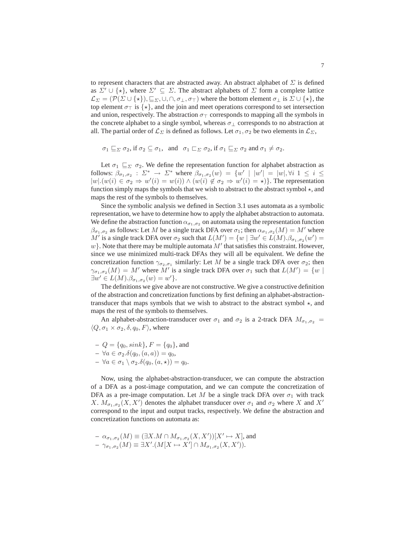to represent characters that are abstracted away. An abstract alphabet of  $\Sigma$  is defined as  $\Sigma' \cup \{ \star \}$ , where  $\Sigma' \subseteq \Sigma$ . The abstract alphabets of  $\Sigma$  form a complete lattice  $\mathcal{L}_{\Sigma} = (\mathcal{P}(\Sigma \cup \{\star\}), \sqsubseteq_{\Sigma}, \cup, \cap, \sigma_{\bot}, \sigma_{\top})$  where the bottom element  $\sigma_{\bot}$  is  $\Sigma \cup \{\star\}$ , the top element  $\sigma_{\top}$  is  $\{\star\}$ , and the join and meet operations correspond to set intersection and union, respectively. The abstraction  $\sigma$ <sub>⊤</sub> corresponds to mapping all the symbols in the concrete alphabet to a single symbol, whereas  $\sigma_{\perp}$  corresponds to no abstraction at all. The partial order of  $\mathcal{L}_{\Sigma}$  is defined as follows. Let  $\sigma_1, \sigma_2$  be two elements in  $\mathcal{L}_{\Sigma}$ ,

 $\sigma_1 \sqsubseteq_{\Sigma} \sigma_2$ , if  $\sigma_2 \subseteq \sigma_1$ , and  $\sigma_1 \sqsubseteq_{\Sigma} \sigma_2$ , if  $\sigma_1 \sqsubseteq_{\Sigma} \sigma_2$  and  $\sigma_1 \neq \sigma_2$ .

Let  $\sigma_1 \sqsubseteq_{\Sigma} \sigma_2$ . We define the representation function for alphabet abstraction as follows:  $\beta_{\sigma_1,\sigma_2}$  :  $\Sigma^* \to \Sigma^*$  where  $\beta_{\sigma_1,\sigma_2}(w) = \{w' \mid |w'| = |w|, \forall i \; 1 \le i \le n \}$  $|w|(w(i) \in \sigma_2 \Rightarrow w'(i) = w(i)) \land (w(i) \notin \sigma_2 \Rightarrow w'(i) = \star)$ . The representation function simply maps the symbols that we wish to abstract to the abstract symbol  $\star$ , and maps the rest of the symbols to themselves.

Since the symbolic analysis we defined in Section 3.1 uses automata as a symbolic representation, we have to determine how to apply the alphabet abstraction to automata. We define the abstraction function  $\alpha_{\sigma_1,\sigma_2}$  on automata using the representation function  $\beta_{\sigma_1,\sigma_2}$  as follows: Let M be a single track DFA over  $\sigma_1$ ; then  $\alpha_{\sigma_1,\sigma_2}(M) = M'$  where *M'* is a single track DFA over  $\sigma_2$  such that  $L(M') = \{w \mid \exists w' \in L(M) \ldotp \beta_{\sigma_1, \sigma_2}(w') =$  $w$ }. Note that there may be multiple automata  $M'$  that satisfies this constraint. However, since we use minimized multi-track DFAs they will all be equivalent. We define the concretization function  $\gamma_{\sigma_2,\sigma_1}$  similarly: Let M be a single track DFA over  $\sigma_2$ ; then  $\gamma_{\sigma_1,\sigma_2}(M) = M'$  where M' is a single track DFA over  $\sigma_1$  such that  $L(M') = \{w \mid m\}$  $\exists w' \in L(M). \beta_{\sigma_1, \sigma_2}(w) = w' \}.$ 

The definitions we give above are not constructive. We give a constructive definition of the abstraction and concretization functions by first defining an alphabet-abstractiontransducer that maps symbols that we wish to abstract to the abstract symbol  $\star$ , and maps the rest of the symbols to themselves.

An alphabet-abstraction-transducer over  $\sigma_1$  and  $\sigma_2$  is a 2-track DFA  $M_{\sigma_1,\sigma_2}$  =  $\langle Q, \sigma_1 \times \sigma_2, \delta, q_0, F \rangle$ , where

 $-Q = \{q_0, sink\}, F = \{q_0\}, and$  $- \forall a \in \sigma_2 \delta(q_0, (a, a)) = q_0,$  $- \forall a \in \sigma_1 \setminus \sigma_2.\delta(q_0,(a,\star)) = q_0.$ 

Now, using the alphabet-abstraction-transducer, we can compute the abstraction of a DFA as a post-image computation, and we can compute the concretization of DFA as a pre-image computation. Let M be a single track DFA over  $\sigma_1$  with track X.  $M_{\sigma_1,\sigma_2}(X,X')$  denotes the alphabet transducer over  $\sigma_1$  and  $\sigma_2$  where X and X' correspond to the input and output tracks, respectively. We define the abstraction and concretization functions on automata as:

 $- \alpha_{\sigma_1, \sigma_2}(M) \equiv (\exists X . M \cap M_{\sigma_1, \sigma_2}(X, X')) [X' \mapsto X]$ , and  $- \gamma_{\sigma_1, \sigma_2}(M) \equiv \exists X'. (M[X \mapsto X'] \cap M_{\sigma_1, \sigma_2}(X, X')).$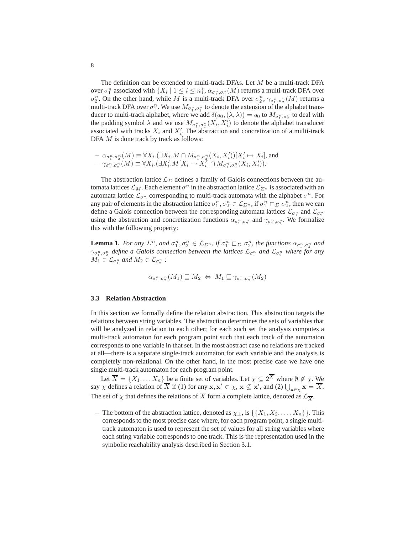The definition can be extended to multi-track DFAs. Let  $M$  be a multi-track DFA over  $\sigma_1^n$  associated with  $\{X_i \mid 1 \leq i \leq n\}, \alpha_{\sigma_1^n, \sigma_2^n}(M)$  returns a multi-track DFA over  $\sigma_2^n$ . On the other hand, while M is a multi-track DFA over  $\sigma_2^n$ ,  $\gamma_{\sigma_1^n, \sigma_2^n}(M)$  returns a multi-track DFA over  $\sigma_1^n$ . We use  $M_{\sigma_1^n, \sigma_2^n}$  to denote the extension of the alphabet transducer to multi-track alphabet, where we add  $\delta(q_0,(\lambda,\lambda)) = q_0$  to  $M_{\sigma_1^n,\sigma_2^n}$  to deal with the padding symbol  $\lambda$  and we use  $M_{\sigma_1^n, \sigma_2^n}(X_i, X_i')$  to denote the alphabet transducer associated with tracks  $X_i$  and  $X'_i$ . The abstraction and concretization of a multi-track DFA M is done track by track as follows:

$$
\begin{array}{l} \n-\alpha_{\sigma_1^n, \sigma_2^n}(M) \equiv \forall X_i.(\exists X_i.M \cap M_{\sigma_1^n, \sigma_2^n}(X_i, X_i')) [X_i' \mapsto X_i], \text{and} \\ \n-\gamma_{\sigma_1^n, \sigma_2^n}(M) \equiv \forall X_i.(\exists X_i'.M [X_i \mapsto X_i'] \cap M_{\sigma_1^n, \sigma_2^n}(X_i, X_i')).\n\end{array}
$$

The abstraction lattice  $\mathcal{L}_{\Sigma}$  defines a family of Galois connections between the automata lattices  $\mathcal{L}_M$ . Each element  $\sigma^n$  in the abstraction lattice  $\mathcal{L}_{\Sigma^n}$  is associated with an automata lattice  $\mathcal{L}_{\sigma^{n}}$  corresponding to multi-track automata with the alphabet  $\sigma^{n}$ . For any pair of elements in the abstraction lattice  $\sigma_1^n, \sigma_2^n \in \mathcal{L}_{\Sigma^n}$ , if  $\sigma_1^n \sqsubset_{\Sigma} \sigma_2^n$ , then we can define a Galois connection between the corresponding automata lattices  $\mathcal{L}_{\sigma_1^n}$  and  $\mathcal{L}_{\sigma_2^n}$ using the abstraction and concretization functions  $\alpha_{\sigma_1^n, \sigma_2^n}$  and  $\gamma_{\sigma_1^n, \sigma_2^n}$ . We formalize this with the following property:

**Lemma 1.** *For any*  $\Sigma^n$ , and  $\sigma_1^n$ ,  $\sigma_2^n \in \mathcal{L}_{\Sigma^n}$ , if  $\sigma_1^n \sqsubset_{\Sigma} \sigma_2^n$ , the functions  $\alpha_{\sigma_1^n, \sigma_2^n}$  and  $\gamma_{\sigma_1^n,\sigma_2^n}$  define a Galois connection between the lattices  $\mathcal{L}_{\sigma_1^n}$  and  $\mathcal{L}_{\sigma_2^n}$  where for any  $M_1 \in \mathcal{L}_{\sigma_1^n}$  and  $M_2 \in \mathcal{L}_{\sigma_2^n}$ :

$$
\alpha_{\sigma_1^n, \sigma_2^n}(M_1) \sqsubseteq M_2 \Leftrightarrow M_1 \sqsubseteq \gamma_{\sigma_1^n, \sigma_2^n}(M_2)
$$

#### **3.3 Relation Abstraction**

In this section we formally define the relation abstraction. This abstraction targets the relations between string variables. The abstraction determines the sets of variables that will be analyzed in relation to each other; for each such set the analysis computes a multi-track automaton for each program point such that each track of the automaton corresponds to one variable in that set. In the most abstract case no relations are tracked at all—there is a separate single-track automaton for each variable and the analysis is completely non-relational. On the other hand, in the most precise case we have one single multi-track automaton for each program point.

Let  $\overline{X} = \{X_1, \ldots X_n\}$  be a finite set of variables. Let  $\chi \subseteq 2^X$  where  $\emptyset \notin \chi$ . We say  $\chi$  defines a relation of  $\overline{X}$  if (1) for any  $\mathbf{x}, \mathbf{x}' \in \chi$ ,  $\mathbf{x} \not\subseteq \mathbf{x}'$ , and (2)  $\bigcup_{\mathbf{x} \in \chi} \mathbf{x} = \overline{X}$ . The set of  $\chi$  that defines the relations of  $\overline{X}$  form a complete lattice, denoted as  $\mathcal{L}_{\overline{X}}$ .

– The bottom of the abstraction lattice, denoted as  $\chi_{\perp}$ , is  $\{\{X_1, X_2, \ldots, X_n\}\}\.$  This corresponds to the most precise case where, for each program point, a single multitrack automaton is used to represent the set of values for all string variables where each string variable corresponds to one track. This is the representation used in the symbolic reachability analysis described in Section 3.1.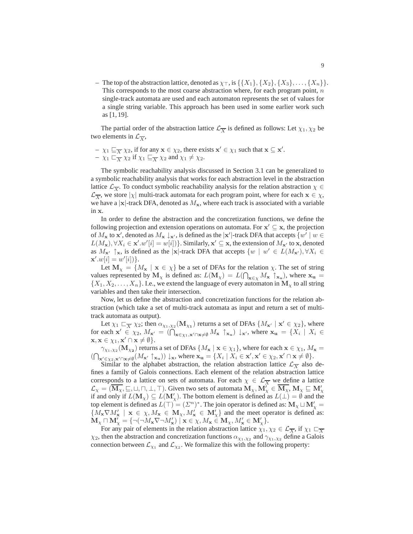– The top of the abstraction lattice, denoted as  $\chi_{\perp}$ , is  $\{\{X_1\}, \{X_2\}, \{X_3\}, \ldots, \{X_n\}\}.$ This corresponds to the most coarse abstraction where, for each program point,  $n$ single-track automata are used and each automaton represents the set of values for a single string variable. This approach has been used in some earlier work such as [1, 19].

The partial order of the abstraction lattice  $\mathcal{L}_{\overline{X}}$  is defined as follows: Let  $\chi_1, \chi_2$  be two elements in  $\mathcal{L}_{\overline{X}}$ ,

 $-\chi_1 \sqsubseteq_{\overline{X}} \chi_2$ , if for any  $\mathbf{x} \in \chi_2$ , there exists  $\mathbf{x}' \in \chi_1$  such that  $\mathbf{x} \subseteq \mathbf{x}'$ .

$$
-\chi_1 \sqsubset \overline{X} \chi_2
$$
 if  $\chi_1 \sqsubseteq \overline{X} \chi_2$  and  $\chi_1 \neq \chi_2$ .

The symbolic reachability analysis discussed in Section 3.1 can be generalized to a symbolic reachability analysis that works for each abstraction level in the abstraction lattice  $\mathcal{L}_{\overline{X}}$ . To conduct symbolic reachability analysis for the relation abstraction  $\chi \in$  $\mathcal{L}_{\overline{X}}$ , we store  $|\chi|$  multi-track automata for each program point, where for each  $x \in \chi$ , we have a  $|x|$ -track DFA, denoted as  $M_x$ , where each track is associated with a variable in x.

In order to define the abstraction and the concretization functions, we define the following projection and extension operations on automata. For  $x' \subseteq x$ , the projection of  $M_x$  to  $x'$ , denoted as  $M_x \downarrow_{x'}$ , is defined as the  $|x'|$ -track DFA that accepts  $\{w' \mid w \in$  $L(M_x), \forall X_i \in \mathbf{x}'.w'[i] = w[i]\}.$  Similarly,  $\mathbf{x}' \subseteq \mathbf{x}$ , the extension of  $M_{\mathbf{x}'}$  to  $\mathbf{x}$ , denoted as  $M_{\mathbf{x'}}$   $\uparrow_{\mathbf{x}}$ , is defined as the  $|\mathbf{x}|$ -track DFA that accepts  $\{w \mid w' \in L(M_{\mathbf{x'}}), \forall X_i \in$  $\mathbf{x}' \cdot w[i] = w'[i])$ .

Let  $M_{\chi} = \{M_{x} \mid x \in \chi\}$  be a set of DFAs for the relation  $\chi$ . The set of string values represented by  $\mathbf{M}_{\chi}$  is defined as:  $L(\mathbf{M}_{\chi}) = L(\bigcap_{\mathbf{x} \in \chi} M_{\mathbf{x}} \upharpoonright_{\mathbf{x}_{\mathbf{u}}})$ , where  $\mathbf{x}_{\mathbf{u}} =$  $\{X_1, X_2, \ldots, X_n\}$ . I.e., we extend the language of every automaton in  $\mathbf{M}_{\chi}$  to all string variables and then take their intersection.

Now, let us define the abstraction and concretization functions for the relation abstraction (which take a set of multi-track automata as input and return a set of multitrack automata as output).

Let  $\chi_1 \sqsubset_{\overline{X}} \chi_2$ ; then  $\alpha_{\chi_1,\chi_2}(M_{\chi_1})$  returns a set of DFAs  $\{M_{x'} \mid x' \in \chi_2\}$ , where for each  $\mathbf{x}' \in \chi_2$ ,  $M_{\mathbf{x}'} = (\bigcap_{\mathbf{x} \in \chi_1, \mathbf{x}' \cap \mathbf{x} \neq \emptyset} M_{\mathbf{x}} \upharpoonright_{\mathbf{x_u}}) \downarrow_{\mathbf{x}'},$  where  $\mathbf{x_u} = \{X_i \mid X_i \in$  $\mathbf{x}, \mathbf{x} \in \chi_1, \mathbf{x}' \cap \mathbf{x} \neq \emptyset$ .

 $\gamma_{\chi_1,\chi_2}(\mathbf{M}_{\chi_2})$  returns a set of DFAs  $\{M_{\mathbf{x}} \mid \mathbf{x} \in \chi_1\}$ , where for each  $\mathbf{x} \in \chi_1, M_{\mathbf{x}} =$  $(\bigcap_{\mathbf{x}' \in \chi_2, \mathbf{x}' \cap \mathbf{x} \neq \emptyset} (M_{\mathbf{x}'} \upharpoonright_{\mathbf{x_u}})) \downarrow_{\mathbf{x}}, \text{ where } \mathbf{x_u} = \{X_i \mid X_i \in \mathbf{x}', \mathbf{x}' \in \chi_2, \mathbf{x}' \cap \mathbf{x} \neq \emptyset\}.$ 

Similar to the alphabet abstraction, the relation abstraction lattice  $\mathcal{L}_{\overline{X}}$  also defines a family of Galois connections. Each element of the relation abstraction lattice corresponds to a lattice on sets of automata. For each  $\chi \in \mathcal{L}_{\overline{X}}$  we define a lattice  $\mathcal{L}_\chi = (\overline{\mathbf{M}_\chi}, \sqsubseteq, \sqcup, \sqcap, \bot, \top)$ . Given two sets of automata  $\mathbf{M}_\chi, \mathbf{M}_\chi' \in \overline{\mathbf{M}_\chi}, \mathbf{M}_\chi \sqsubseteq \mathbf{M}_\chi'$ if and only if  $L(\mathbf{M}_{\chi}) \subseteq L(\mathbf{M}'_{\chi})$ . The bottom element is defined as  $L(\perp) = \emptyset$  and the top element is defined as  $L(\top) = (\Sigma^n)^*$ . The join operator is defined as:  $M_\chi \sqcup M'_\chi =$  ${M_{\mathbf{x}} \nabla M'_{\mathbf{x}} \mid \mathbf{x} \in \chi, M_{\mathbf{x}} \in \mathbf{M}_{\chi}, M'_{\mathbf{x}} \in \mathbf{M}'_{\chi}}$  and the meet operator is defined as:  $\mathbf{M}_{\chi} \sqcap \mathbf{M}_{\chi}^{\prime} = \{ \neg(\neg M_{\mathbf{x}} \nabla \neg M_{\mathbf{x}}^{\prime}) \mid \mathbf{x} \in \chi, M_{\mathbf{x}} \in \mathbf{M}_{\chi}, M_{\mathbf{x}}^{\prime} \in \mathbf{M}_{\chi}^{\prime} \}.$ 

For any pair of elements in the relation abstraction lattice  $\chi_1, \chi_2 \in \mathcal{L}_{\overline{X}}$ , if  $\chi_1 \square_{\overline{X}}$  $\chi_2$ , then the abstraction and concretization functions  $\alpha_{\chi_1,\chi_2}$  and  $\gamma_{\chi_1,\chi_2}$  define a Galois connection between  $\mathcal{L}_{\chi_1}$  and  $\mathcal{L}_{\chi_2}$ . We formalize this with the following property: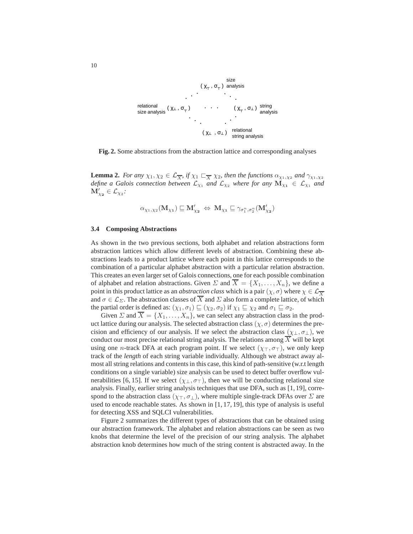

**Fig. 2.** Some abstractions from the abstraction lattice and corresponding analyses

**Lemma 2.** *For any*  $\chi_1, \chi_2 \in \mathcal{L}_{\overline{X}}$ *, if*  $\chi_1 \sqsubset_{\overline{X}} \chi_2$ *, then the functions*  $\alpha_{\chi_1, \chi_2}$  *and*  $\gamma_{\chi_1, \chi_2}$ *define a Galois connection between*  $\mathcal{L}_{\chi_1}$  *and*  $\mathcal{L}_{\chi_2}$  *where for any*  $\mathbf{M}_{\chi_1} \in \mathcal{L}_{\chi_1}$  *and*  $\mathbf{M}'_{\chi_2} \in \mathcal{L}_{\chi_2}$ :

$$
\alpha_{\chi_1,\chi_2}(\mathbf{M}_{\chi_1})\sqsubseteq \mathbf{M}'_{\chi_2} \ \Leftrightarrow \ \mathbf{M}_{\chi_1}\sqsubseteq \gamma_{\sigma_1^n,\sigma_2^n}(\mathbf{M}'_{\chi_2})
$$

#### **3.4 Composing Abstractions**

As shown in the two previous sections, both alphabet and relation abstractions form abstraction lattices which allow different levels of abstraction. Combining these abstractions leads to a product lattice where each point in this lattice corresponds to the combination of a particular alphabet abstraction with a particular relation abstraction. This creates an even larger set of Galois connections, one for each possible combination of alphabet and relation abstractions. Given  $\Sigma$  and  $\overline{X} = \{X_1, \ldots, X_n\}$ , we define a point in this product lattice as an *abstraction class* which is a pair  $(\chi, \sigma)$  where  $\chi \in \mathcal{L}_{\overline{X}}$ and  $\sigma \in \mathcal{L}_{\Sigma}$ . The abstraction classes of  $\overline{X}$  and  $\Sigma$  also form a complete lattice, of which the partial order is defined as:  $(\chi_1, \sigma_1) \sqsubseteq (\chi_2, \sigma_2)$  if  $\chi_1 \sqsubseteq \chi_2$  and  $\sigma_1 \sqsubseteq \sigma_2$ .

Given  $\Sigma$  and  $\overline{X} = \{X_1, \ldots, X_n\}$ , we can select any abstraction class in the product lattice during our analysis. The selected abstraction class  $(\chi, \sigma)$  determines the precision and efficiency of our analysis. If we select the abstraction class  $(\chi_{\perp}, \sigma_{\perp})$ , we conduct our most precise relational string analysis. The relations among  $X$  will be kept using one *n*-track DFA at each program point. If we select  $(\chi_{\top}, \sigma_{\top})$ , we only keep track of the *length* of each string variable individually. Although we abstract away almost all string relations and contents in this case, this kind of path-sensitive (w.r.t length conditions on a single variable) size analysis can be used to detect buffer overflow vulnerabilities [6, 15]. If we select  $(\chi_{\perp}, \sigma_{\perp})$ , then we will be conducting relational size analysis. Finally, earlier string analysis techniques that use DFA, such as [1, 19], correspond to the abstraction class ( $\chi_{\perp}, \sigma_{\perp}$ ), where multiple single-track DFAs over  $\Sigma$  are used to encode reachable states. As shown in [1, 17, 19], this type of analysis is useful for detecting XSS and SQLCI vulnerabilities.

Figure 2 summarizes the different types of abstractions that can be obtained using our abstraction framework. The alphabet and relation abstractions can be seen as two knobs that determine the level of the precision of our string analysis. The alphabet abstraction knob determines how much of the string content is abstracted away. In the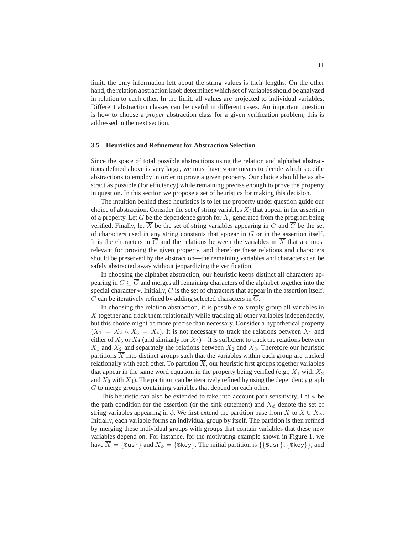limit, the only information left about the string values is their lengths. On the other hand, the relation abstraction knob determines which set of variables should be analyzed in relation to each other. In the limit, all values are projected to individual variables. Different abstraction classes can be useful in different cases. An important question is how to choose a *proper* abstraction class for a given verification problem; this is addressed in the next section.

#### **3.5 Heuristics and Refinement for Abstraction Selection**

Since the space of total possible abstractions using the relation and alphabet abstractions defined above is very large, we must have some means to decide which specific abstractions to employ in order to prove a given property. Our choice should be as abstract as possible (for efficiency) while remaining precise enough to prove the property in question. In this section we propose a set of heuristics for making this decision.

The intuition behind these heuristics is to let the property under question guide our choice of abstraction. Consider the set of string variables  $X_i$  that appear in the assertion of a property. Let G be the dependence graph for  $X_i$  generated from the program being verified. Finally, let  $\overline{X}$  be the set of string variables appearing in G and  $\overline{C}$  be the set of characters used in any string constants that appear in  $G$  or in the assertion itself. It is the characters in  $\overline{C}$  and the relations between the variables in  $\overline{X}$  that are most relevant for proving the given property, and therefore these relations and characters should be preserved by the abstraction—the remaining variables and characters can be safely abstracted away without jeopardizing the verification.

In choosing the alphabet abstraction, our heuristic keeps distinct all characters appearing in  $C \subseteq \overline{C}$  and merges all remaining characters of the alphabet together into the special character  $\star$ . Initially, C is the set of characters that appear in the assertion itself. C can be iteratively refined by adding selected characters in C.

In choosing the relation abstraction, it is possible to simply group all variables in  $\overline{X}$  together and track them relationally while tracking all other variables independently, but this choice might be more precise than necessary. Consider a hypothetical property  $(X_1 = X_2 \wedge X_3 = X_4)$ . It is not necessary to track the relations between  $X_1$  and either of  $X_3$  or  $X_4$  (and similarly for  $X_2$ )—it is sufficient to track the relations between  $X_1$  and  $X_2$  and separately the relations between  $X_2$  and  $X_3$ . Therefore our heuristic partitions  $X$  into distinct groups such that the variables within each group are tracked relationally with each other. To partition  $\overline{X}$ , our heuristic first groups together variables that appear in the same word equation in the property being verified (e.g.,  $X_1$  with  $X_2$ and  $X_3$  with  $X_4$ ). The partition can be iteratively refined by using the dependency graph G to merge groups containing variables that depend on each other.

This heuristic can also be extended to take into account path sensitivity. Let  $\phi$  be the path condition for the assertion (or the sink statement) and  $X_{\phi}$  denote the set of string variables appearing in  $\phi$ . We first extend the partition base from  $\overline{X}$  to  $\overline{X} \cup X_{\phi}$ . Initially, each variable forms an individual group by itself. The partition is then refined by merging these individual groups with groups that contain variables that these new variables depend on. For instance, for the motivating example shown in Figure 1, we have  $\overline{X} = \{\text{Susr}\}\$  and  $X_{\phi} = \{\text{Skey}\}\$ . The initial partition is  $\{\text{Susr}\}, \{\text{Skey}\}\}\$ , and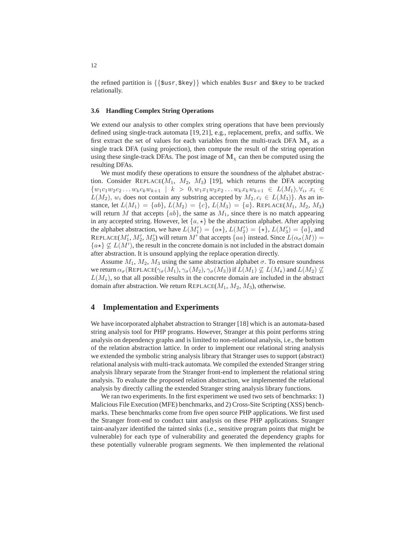the refined partition is  $\{\{\text{susr}, \text{skey}\}\}\$  which enables  $\text{susr}$  and  $\text{skey}$  to be tracked relationally.

#### **3.6 Handling Complex String Operations**

We extend our analysis to other complex string operations that have been previously defined using single-track automata [19, 21], e.g., replacement, prefix, and suffix. We first extract the set of values for each variables from the multi-track DFA  $M_{\chi}$  as a single track DFA (using projection), then compute the result of the string operation using these single-track DFAs. The post image of  $M<sub>x</sub>$  can then be computed using the resulting DFAs.

We must modify these operations to ensure the soundness of the alphabet abstraction. Consider REPLACE( $M_1$ ,  $M_2$ ,  $M_3$ ) [19], which returns the DFA accepting  $\{w_1c_1w_2c_2\ldots w_kc_kw_{k+1} \mid k \geq 0, w_1x_1w_2x_2\ldots w_kx_kw_{k+1} \in L(M_1), \forall i, x_i \in$  $L(M_2)$ ,  $w_i$  does not contain any substring accepted by  $M_2, c_i \in L(M_3)$ . As an instance, let  $L(M_1) = \{ab\}$ ,  $L(M_2) = \{c\}$ ,  $L(M_3) = \{a\}$ . REPLACE( $M_1$ ,  $M_2$ ,  $M_3$ ) will return M that accepts  $\{ab\}$ , the same as  $M_1$ , since there is no match appearing in any accepted string. However, let  $\{a, \star\}$  be the abstraction alphabet. After applying the alphabet abstraction, we have  $L(M'_1) = \{a\star\}, L(M'_2) = \{\star\}, L(M'_3) = \{a\}$ , and REPLACE( $M'_1$ ,  $M'_2$ ,  $M'_3$ ) will return  $M'$  that accepts  $\{aa\}$  instead. Since  $L(\alpha_{\sigma}(M))$  =  ${a\star}\not\subseteq L(M')$ , the result in the concrete domain is not included in the abstract domain after abstraction. It is unsound applying the replace operation directly.

Assume  $M_1$ ,  $M_2$ ,  $M_3$  using the same abstraction alphabet  $\sigma$ . To ensure soundness we return  $\alpha_{\sigma}(\text{REPLACE}(\gamma_{\sigma}(M_1), \gamma_{\sigma}(M_2), \gamma_{\sigma}(M_3))$  if  $L(M_1) \not\subseteq L(M_{\bar{x}})$  and  $L(M_2) \not\subseteq$  $L(M_{\overline{\star}})$ , so that all possible results in the concrete domain are included in the abstract domain after abstraction. We return REPLACE( $M_1, M_2, M_3$ ), otherwise.

## **4 Implementation and Experiments**

We have incorporated alphabet abstraction to Stranger [18] which is an automata-based string analysis tool for PHP programs. However, Stranger at this point performs string analysis on dependency graphs and is limited to non-relational analysis, i.e., the bottom of the relation abstraction lattice. In order to implement our relational string analysis we extended the symbolic string analysis library that Stranger uses to support (abstract) relational analysis with multi-track automata. We compiled the extended Stranger string analysis library separate from the Stranger front-end to implement the relational string analysis. To evaluate the proposed relation abstraction, we implemented the relational analysis by directly calling the extended Stranger string analysis library functions.

We ran two experiments. In the first experiment we used two sets of benchmarks: 1) Malicious File Execution (MFE) benchmarks, and 2) Cross-Site Scripting (XSS) benchmarks. These benchmarks come from five open source PHP applications. We first used the Stranger front-end to conduct taint analysis on these PHP applications. Stranger taint-analyzer identified the tainted sinks (i.e., sensitive program points that might be vulnerable) for each type of vulnerability and generated the dependency graphs for these potentially vulnerable program segments. We then implemented the relational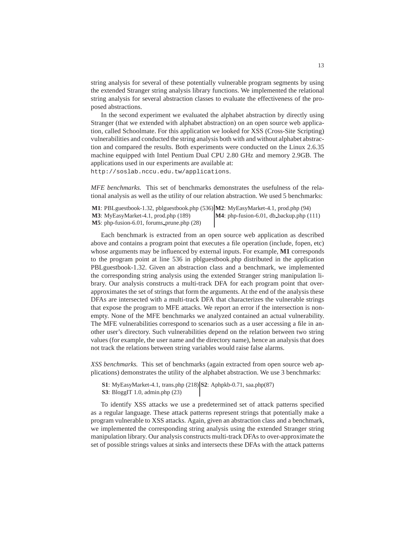string analysis for several of these potentially vulnerable program segments by using the extended Stranger string analysis library functions. We implemented the relational string analysis for several abstraction classes to evaluate the effectiveness of the proposed abstractions.

In the second experiment we evaluated the alphabet abstraction by directly using Stranger (that we extended with alphabet abstraction) on an open source web application, called Schoolmate. For this application we looked for XSS (Cross-Site Scripting) vulnerabilities and conducted the string analysis both with and without alphabet abstraction and compared the results. Both experiments were conducted on the Linux 2.6.35 machine equipped with Intel Pentium Dual CPU 2.80 GHz and memory 2.9GB. The applications used in our experiments are available at:

http://soslab.nccu.edu.tw/applications.

*MFE benchmarks.* This set of benchmarks demonstrates the usefulness of the relational analysis as well as the utility of our relation abstraction. We used 5 benchmarks:

**M1**: PBLguestbook-1.32, pblguestbook.php (536) **M2**: MyEasyMarket-4.1, prod.php (94) **M3**: MyEasyMarket-4.1, prod.php (189) **M4**: php-fusion-6.01, db backup.php (111) **M5**: php-fusion-6.01, forums\_prune.php (28)

Each benchmark is extracted from an open source web application as described above and contains a program point that executes a file operation (include, fopen, etc) whose arguments may be influenced by external inputs. For example, **M1** corresponds to the program point at line 536 in pblguestbook.php distributed in the application PBLguestbook-1.32. Given an abstraction class and a benchmark, we implemented the corresponding string analysis using the extended Stranger string manipulation library. Our analysis constructs a multi-track DFA for each program point that overapproximates the set of strings that form the arguments. At the end of the analysis these DFAs are intersected with a multi-track DFA that characterizes the vulnerable strings that expose the program to MFE attacks. We report an error if the intersection is nonempty. None of the MFE benchmarks we analyzed contained an actual vulnerability. The MFE vulnerabilities correspond to scenarios such as a user accessing a file in another user's directory. Such vulnerabilities depend on the relation between two string values (for example, the user name and the directory name), hence an analysis that does not track the relations between string variables would raise false alarms.

*XSS benchmarks.* This set of benchmarks (again extracted from open source web applications) demonstrates the utility of the alphabet abstraction. We use 3 benchmarks:

**S1**: MyEasyMarket-4.1, trans.php (218) **S2**: Aphpkb-0.71, saa.php(87) **S3**: BloggIT 1.0, admin.php (23)

To identify XSS attacks we use a predetermined set of attack patterns specified as a regular language. These attack patterns represent strings that potentially make a program vulnerable to XSS attacks. Again, given an abstraction class and a benchmark, we implemented the corresponding string analysis using the extended Stranger string manipulation library. Our analysis constructs multi-track DFAs to over-approximate the set of possible strings values at sinks and intersects these DFAs with the attack patterns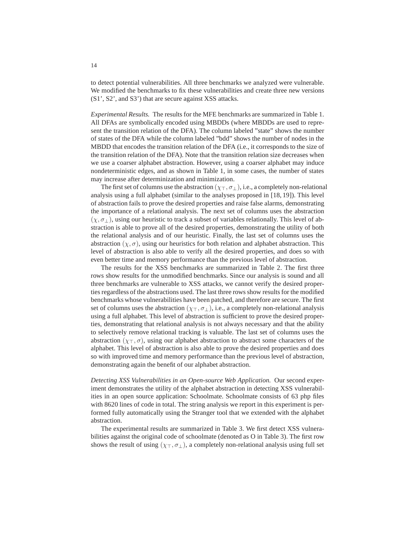to detect potential vulnerabilities. All three benchmarks we analyzed were vulnerable. We modified the benchmarks to fix these vulnerabilities and create three new versions (S1', S2', and S3') that are secure against XSS attacks.

*Experimental Results.* The results for the MFE benchmarks are summarized in Table 1. All DFAs are symbolically encoded using MBDDs (where MBDDs are used to represent the transition relation of the DFA). The column labeled "state" shows the number of states of the DFA while the column labeled "bdd" shows the number of nodes in the MBDD that encodes the transition relation of the DFA (i.e., it corresponds to the size of the transition relation of the DFA). Note that the transition relation size decreases when we use a coarser alphabet abstraction. However, using a coarser alphabet may induce nondeterministic edges, and as shown in Table 1, in some cases, the number of states may increase after determinization and minimization.

The first set of columns use the abstraction  $(\chi_{\top}, \sigma_{\bot})$ , i.e., a completely non-relational analysis using a full alphabet (similar to the analyses proposed in [18, 19]). This level of abstraction fails to prove the desired properties and raise false alarms, demonstrating the importance of a relational analysis. The next set of columns uses the abstraction  $(\chi, \sigma_{\perp})$ , using our heuristic to track a subset of variables relationally. This level of abstraction is able to prove all of the desired properties, demonstrating the utility of both the relational analysis and of our heuristic. Finally, the last set of columns uses the abstraction ( $\chi, \sigma$ ), using our heuristics for both relation and alphabet abstraction. This level of abstraction is also able to verify all the desired properties, and does so with even better time and memory performance than the previous level of abstraction.

The results for the XSS benchmarks are summarized in Table 2. The first three rows show results for the unmodified benchmarks. Since our analysis is sound and all three benchmarks are vulnerable to XSS attacks, we cannot verify the desired properties regardless of the abstractions used. The last three rows show results for the modified benchmarks whose vulnerabilities have been patched, and therefore are secure. The first set of columns uses the abstraction  $(\chi_{\top}, \sigma_{\bot})$ , i.e., a completely non-relational analysis using a full alphabet. This level of abstraction is sufficient to prove the desired properties, demonstrating that relational analysis is not always necessary and that the ability to selectively remove relational tracking is valuable. The last set of columns uses the abstraction ( $\chi$ ⊤,  $\sigma$ ), using our alphabet abstraction to abstract some characters of the alphabet. This level of abstraction is also able to prove the desired properties and does so with improved time and memory performance than the previous level of abstraction, demonstrating again the benefit of our alphabet abstraction.

*Detecting XSS Vulnerabilities in an Open-source Web Application.* Our second experiment demonstrates the utility of the alphabet abstraction in detecting XSS vulnerabilities in an open source application: Schoolmate. Schoolmate consists of 63 php files with 8620 lines of code in total. The string analysis we report in this experiment is performed fully automatically using the Stranger tool that we extended with the alphabet abstraction.

The experimental results are summarized in Table 3. We first detect XSS vulnerabilities against the original code of schoolmate (denoted as O in Table 3). The first row shows the result of using  $(\chi_{\top}, \sigma_{\bot})$ , a completely non-relational analysis using full set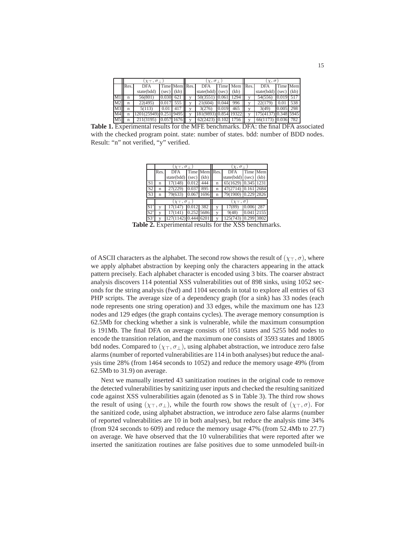|    | $\chi_{\top}$ , $\sigma_{\bot}$ |                        |             |                 | $\chi, \sigma$ |                                  |             |               | $\chi$ , $\sigma$ |                          |             |      |
|----|---------------------------------|------------------------|-------------|-----------------|----------------|----------------------------------|-------------|---------------|-------------------|--------------------------|-------------|------|
|    | Res.                            | <b>DFA</b>             |             | Time Mem Res.   |                | DFA                              |             | Time Mem Res. |                   | <b>DFA</b>               | Time Mem    |      |
|    |                                 | state(bdd)             |             | $(\sec)$ $(kb)$ |                | state(bdd) (sec) $(kb)$          |             |               |                   | state $(bdd)$ (sec) (kb) |             |      |
| M1 |                                 | 56(801)                | $0.030$ 621 |                 |                | $50(3551)$ 0.061 1294            |             |               |                   | 54(556) 0.019 517        |             |      |
| M2 | $\mathbf n$                     | 22(495)                |             | $0.017$ 555     |                | 21(604)                          | 0.044 996   |               |                   | 22(179)                  | 0.01        | 1538 |
| M3 | $\mathsf{n}$                    | 5(113)                 | 0.01        | 417             |                | 3(276)                           | $0.019$ 465 |               |                   | 3(49)                    | $0.005$ 298 |      |
| M4 |                                 | 1201(25949) 0.251 9495 |             |                 |                | 181(9893) 0.854 19322            |             |               |                   | 175(4137) 0.348 5945     |             |      |
| M5 | $\mathbf n$                     | 211(3195) 0.057 1676   |             |                 |                | $62(24\overline{23})$ 0.102 1756 |             |               |                   | 66(1173) 0.036 782       |             |      |

**Table 1.** Experimental results for the MFE benchmarks. DFA: the final DFA associated with the checked program point. state: number of states. bdd: number of BDD nodes. Result: "n" not verified, "y" verified.

|                        |             | $\chi_{\top}, \sigma_{\perp}$   |               |     | $\chi, \sigma$ |                     |          |      |  |  |
|------------------------|-------------|---------------------------------|---------------|-----|----------------|---------------------|----------|------|--|--|
|                        | Res.        | <b>DFA</b>                      | Time Mem Res. |     |                | <b>DFA</b>          | Time Mem |      |  |  |
|                        |             | state $(bdd)$ (sec) (kb)        |               |     |                | $state(bdd)$ (sec)  |          | (kb) |  |  |
| S1                     | $\mathbf n$ | 17(148)                         | 0.012         | 444 | $\mathbf n$    | 65(1629) 0.345 1231 |          |      |  |  |
| S <sub>2</sub>         | $\mathbf n$ | 27(229)                         | 0.037         | 895 | $\mathbf n$    | 47(2714) 0.161 2684 |          |      |  |  |
| S <sub>3</sub>         | $\mathbf n$ | 79(633)                         | 0.067 1696    |     | n              | 79(1900) 0.229 2826 |          |      |  |  |
|                        |             | $\chi_{\top}$ , $\sigma_{\bot}$ |               |     | $\sigma$       |                     |          |      |  |  |
| S1'                    | v           | 17(147)                         | 0.012         | 382 |                | 17(89)              | 0.006    | 287  |  |  |
| $\overline{\text{S2}}$ | v           | 17(141)                         | 0.252 5686    |     | V              | 9(48)               | 0.041    | 2155 |  |  |
| S3'                    | v           | 127(1142) 0.444 6201            |               |     |                | 125(743)            | 0.299    | 3802 |  |  |
|                        |             |                                 |               |     |                |                     |          |      |  |  |

**Table 2.** Experimental results for the XSS benchmarks.

of ASCII characters as the alphabet. The second row shows the result of  $(\chi_{\top}, \sigma)$ , where we apply alphabet abstraction by keeping only the characters appearing in the attack pattern precisely. Each alphabet character is encoded using 3 bits. The coarser abstract analysis discovers 114 potential XSS vulnerabilities out of 898 sinks, using 1052 seconds for the string analysis (fwd) and 1104 seconds in total to explore all entries of 63 PHP scripts. The average size of a dependency graph (for a sink) has 33 nodes (each node represents one string operation) and 33 edges, while the maximum one has 123 nodes and 129 edges (the graph contains cycles). The average memory consumption is 62.5Mb for checking whether a sink is vulnerable, while the maximum consumption is 191Mb. The final DFA on average consists of 1051 states and 5255 bdd nodes to encode the transition relation, and the maximum one consists of 3593 states and 18005 bdd nodes. Compared to  $(\chi_{\top}, \sigma_{\top})$ , using alphabet abstraction, we introduce zero false alarms (number of reported vulnerabilities are 114 in both analyses) but reduce the analysis time 28% (from 1464 seconds to 1052) and reduce the memory usage 49% (from 62.5Mb to 31.9) on average.

Next we manually inserted 43 sanitization routines in the original code to remove the detected vulnerabilities by sanitizing user inputs and checked the resulting sanitized code against XSS vulnerabilities again (denoted as S in Table 3). The third row shows the result of using  $(\chi_{\top}, \sigma_{\bot})$ , while the fourth row shows the result of  $(\chi_{\top}, \sigma)$ . For the sanitized code, using alphabet abstraction, we introduce zero false alarms (number of reported vulnerabilities are 10 in both analyses), but reduce the analysis time 34% (from 924 seconds to 609) and reduce the memory usage 47% (from 52.4Mb to 27.7) on average. We have observed that the 10 vulnerabilities that were reported after we inserted the sanitization routines are false positives due to some unmodeled built-in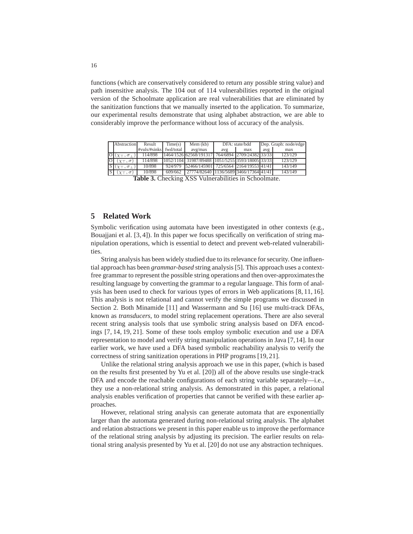functions (which are conservatively considered to return any possible string value) and path insensitive analysis. The 104 out of 114 vulnerabilities reported in the original version of the Schoolmate application are real vulnerabilities that are eliminated by the sanitization functions that we manually inserted to the application. To summarize, our experimental results demonstrate that using alphabet abstraction, we are able to considerably improve the performance without loss of accuracy of the analysis.

|                | Abstraction                      | Result                 | Time(s) | $M$ em $(kb)$                                    |     | DFA: state/bdd            | Dep. Graph: node/edge |         |  |
|----------------|----------------------------------|------------------------|---------|--------------------------------------------------|-----|---------------------------|-----------------------|---------|--|
|                |                                  | #vuls/#sinks fwd/total |         | avg/max                                          | avg | max                       | avg                   | max     |  |
| $\overline{O}$ | $\chi_{\top}$ , $\sigma_{\perp}$ | 114/898                |         | 1464/1526 62568/191317                           |     | 764/6894 2709/24382 33/33 |                       | 123/129 |  |
| $\overline{O}$ | $(\chi_{\top}, \sigma)$          | 114/898                |         | 1052/1104 31987/89488 1051/5255 3593/18005 33/33 |     |                           |                       | 123/129 |  |
| <sub>S</sub>   | $(\chi_{\top}, \sigma_{\perp})$  | 10/898                 | 924/979 | 52466/145901 725/6564 2164/19553 41/41           |     |                           |                       | 143/149 |  |
| IS I           | $(\chi_{\top}, \sigma)$          | 10/898                 | 609/662 | 27774/82640 1136/5689 3466/17364 41/41           |     |                           |                       | 143/149 |  |

**Table 3.** Checking XSS Vulnerabilities in Schoolmate.

# **5 Related Work**

Symbolic verification using automata have been investigated in other contexts (e.g., Bouajjani et al. [3, 4]). In this paper we focus specifically on verification of string manipulation operations, which is essential to detect and prevent web-related vulnerabilities.

String analysis has been widely studied due to its relevance for security. One influential approach has been *grammar-based* string analysis [5]. This approach uses a contextfree grammar to represent the possible string operations and then over-approximates the resulting language by converting the grammar to a regular language. This form of analysis has been used to check for various types of errors in Web applications [8, 11, 16]. This analysis is not relational and cannot verify the simple programs we discussed in Section 2. Both Minamide [11] and Wassermann and Su [16] use multi-track DFAs, known as *transducers*, to model string replacement operations. There are also several recent string analysis tools that use symbolic string analysis based on DFA encodings [7, 14, 19, 21]. Some of these tools employ symbolic execution and use a DFA representation to model and verify string manipulation operations in Java [7,14]. In our earlier work, we have used a DFA based symbolic reachability analysis to verify the correctness of string sanitization operations in PHP programs [19, 21].

Unlike the relational string analysis approach we use in this paper, (which is based on the results first presented by Yu et al. [20]) all of the above results use single-track DFA and encode the reachable configurations of each string variable separately—i.e., they use a non-relational string analysis. As demonstrated in this paper, a relational analysis enables verification of properties that cannot be verified with these earlier approaches.

However, relational string analysis can generate automata that are exponentially larger than the automata generated during non-relational string analysis. The alphabet and relation abstractions we present in this paper enable us to improve the performance of the relational string analysis by adjusting its precision. The earlier results on relational string analysis presented by Yu et al. [20] do not use any abstraction techniques.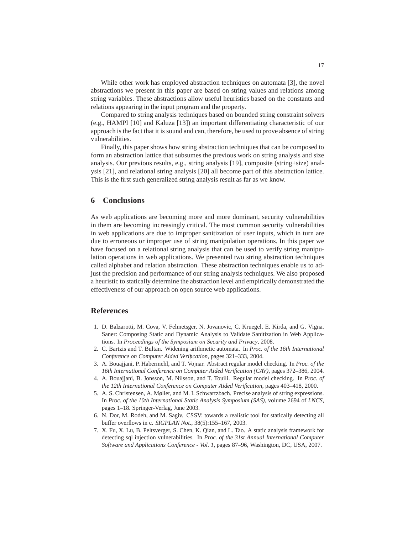While other work has employed abstraction techniques on automata [3], the novel abstractions we present in this paper are based on string values and relations among string variables. These abstractions allow useful heuristics based on the constants and relations appearing in the input program and the property.

Compared to string analysis techniques based on bounded string constraint solvers (e.g., HAMPI [10] and Kaluza [13]) an important differentiating characteristic of our approach is the fact that it is sound and can, therefore, be used to prove absence of string vulnerabilities.

Finally, this paper shows how string abstraction techniques that can be composed to form an abstraction lattice that subsumes the previous work on string analysis and size analysis. Our previous results, e.g., string analysis [19], composite (string+size) analysis [21], and relational string analysis [20] all become part of this abstraction lattice. This is the first such generalized string analysis result as far as we know.

### **6 Conclusions**

As web applications are becoming more and more dominant, security vulnerabilities in them are becoming increasingly critical. The most common security vulnerabilities in web applications are due to improper sanitization of user inputs, which in turn are due to erroneous or improper use of string manipulation operations. In this paper we have focused on a relational string analysis that can be used to verify string manipulation operations in web applications. We presented two string abstraction techniques called alphabet and relation abstraction. These abstraction techniques enable us to adjust the precision and performance of our string analysis techniques. We also proposed a heuristic to statically determine the abstraction level and empirically demonstrated the effectiveness of our approach on open source web applications.

# **References**

- 1. D. Balzarotti, M. Cova, V. Felmetsger, N. Jovanovic, C. Kruegel, E. Kirda, and G. Vigna. Saner: Composing Static and Dynamic Analysis to Validate Sanitization in Web Applications. In *Proceedings of the Symposium on Security and Privacy*, 2008.
- 2. C. Bartzis and T. Bultan. Widening arithmetic automata. In *Proc. of the 16th International Conference on Computer Aided Verification*, pages 321–333, 2004.
- 3. A. Bouajjani, P. Habermehl, and T. Vojnar. Abstract regular model checking. In *Proc. of the 16th International Conference on Computer Aided Verification (CAV)*, pages 372–386, 2004.
- 4. A. Bouajjani, B. Jonsson, M. Nilsson, and T. Touili. Regular model checking. In *Proc. of the 12th International Conference on Computer Aided Verification*, pages 403–418, 2000.
- 5. A. S. Christensen, A. Møller, and M. I. Schwartzbach. Precise analysis of string expressions. In *Proc. of the 10th International Static Analysis Symposium (SAS)*, volume 2694 of *LNCS*, pages 1–18. Springer-Verlag, June 2003.
- 6. N. Dor, M. Rodeh, and M. Sagiv. CSSV: towards a realistic tool for statically detecting all buffer overflows in c. *SIGPLAN Not.*, 38(5):155–167, 2003.
- 7. X. Fu, X. Lu, B. Peltsverger, S. Chen, K. Qian, and L. Tao. A static analysis framework for detecting sql injection vulnerabilities. In *Proc. of the 31st Annual International Computer Software and Applications Conference - Vol. 1*, pages 87–96, Washington, DC, USA, 2007.